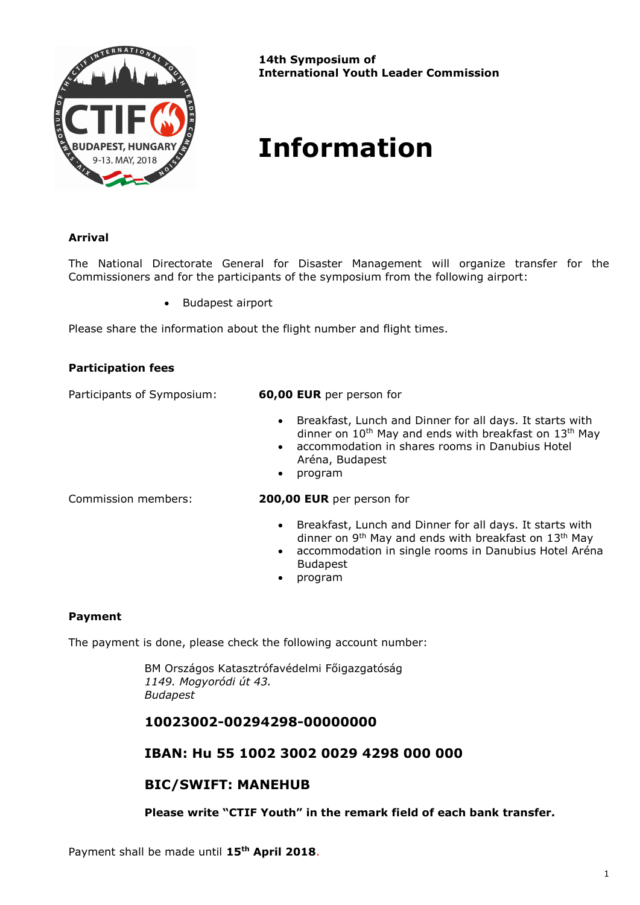

**14th Symposium of International Youth Leader Commission**

# **Information**

### **Arrival**

The National Directorate General for Disaster Management will organize transfer for the Commissioners and for the participants of the symposium from the following airport:

• Budapest airport

Please share the information about the flight number and flight times.

| <b>Participation fees</b>  |                                                                                                                                                                                                                                                 |
|----------------------------|-------------------------------------------------------------------------------------------------------------------------------------------------------------------------------------------------------------------------------------------------|
| Participants of Symposium: | 60,00 EUR per person for                                                                                                                                                                                                                        |
|                            | Breakfast, Lunch and Dinner for all days. It starts with<br>$\bullet$<br>dinner on $10^{th}$ May and ends with breakfast on $13^{th}$ May<br>• accommodation in shares rooms in Danubius Hotel<br>Aréna, Budapest<br>program<br>$\bullet$       |
| Commission members:        | 200,00 EUR per person for                                                                                                                                                                                                                       |
|                            | • Breakfast, Lunch and Dinner for all days. It starts with<br>dinner on 9 <sup>th</sup> May and ends with breakfast on 13 <sup>th</sup> May<br>accommodation in single rooms in Danubius Hotel Aréna<br>$\bullet$<br><b>Budapest</b><br>program |

# **Payment**

The payment is done, please check the following account number:

BM Országos Katasztrófavédelmi Főigazgatóság *1149. Mogyoródi út 43. Budapest*

## **10023002-00294298-00000000**

## **IBAN: Hu 55 1002 3002 0029 4298 000 000**

## **BIC/SWIFT: MANEHUB**

**Please write "CTIF Youth" in the remark field of each bank transfer.**

Payment shall be made until **15th April 2018**.